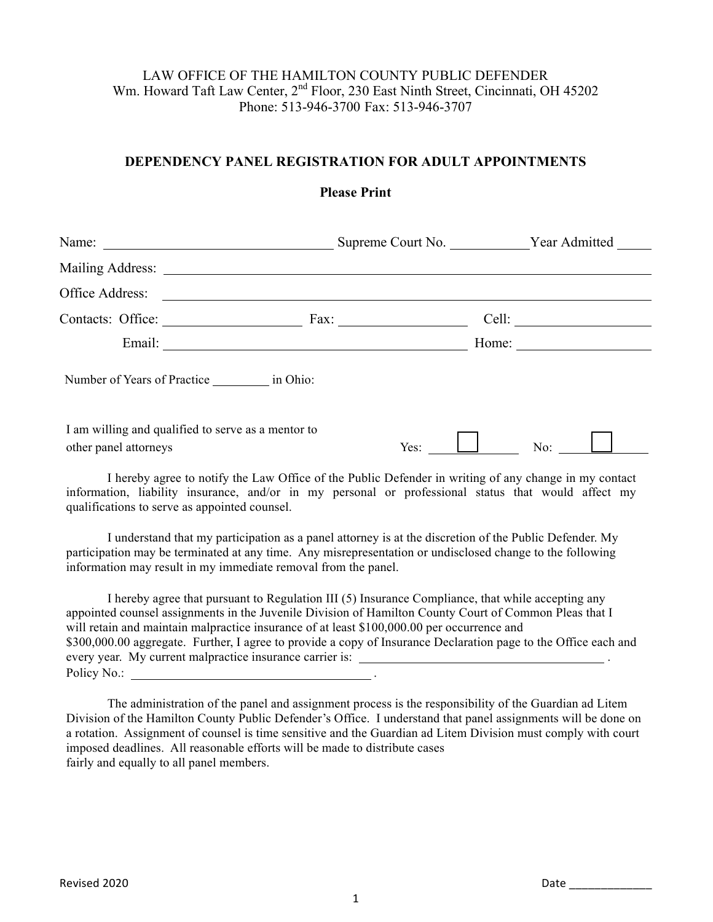## LAW OFFICE OF THE HAMILTON COUNTY PUBLIC DEFENDER Wm. Howard Taft Law Center, 2<sup>nd</sup> Floor, 230 East Ninth Street, Cincinnati, OH 45202 Phone: 513-946-3700 Fax: 513-946-3707

## **DEPENDENCY PANEL REGISTRATION FOR ADULT APPOINTMENTS**

|                                                                             |      | Supreme Court No. Vear Admitted |  |
|-----------------------------------------------------------------------------|------|---------------------------------|--|
|                                                                             |      |                                 |  |
|                                                                             |      |                                 |  |
|                                                                             |      | Cell: $\qquad \qquad$           |  |
|                                                                             |      | Home: $\qquad \qquad$           |  |
| Number of Years of Practice ___________ in Ohio:                            |      |                                 |  |
| I am willing and qualified to serve as a mentor to<br>other panel attorneys | Yes: | No: $\boxed{\phantom{1}}$       |  |

I hereby agree to notify the Law Office of the Public Defender in writing of any change in my contact information, liability insurance, and/or in my personal or professional status that would affect my qualifications to serve as appointed counsel.

I understand that my participation as a panel attorney is at the discretion of the Public Defender. My participation may be terminated at any time. Any misrepresentation or undisclosed change to the following information may result in my immediate removal from the panel.

I hereby agree that pursuant to Regulation III (5) Insurance Compliance, that while accepting any appointed counsel assignments in the Juvenile Division of Hamilton County Court of Common Pleas that I will retain and maintain malpractice insurance of at least \$100,000.00 per occurrence and \$300,000.00 aggregate. Further, I agree to provide a copy of Insurance Declaration page to the Office each and every year. My current malpractice insurance carrier is: \_\_\_\_\_\_\_\_\_\_\_\_\_\_\_\_\_\_\_\_\_\_\_\_ Policy No.:

The administration of the panel and assignment process is the responsibility of the Guardian ad Litem Division of the Hamilton County Public Defender's Office. I understand that panel assignments will be done on a rotation. Assignment of counsel is time sensitive and the Guardian ad Litem Division must comply with court imposed deadlines. All reasonable efforts will be made to distribute cases fairly and equally to all panel members.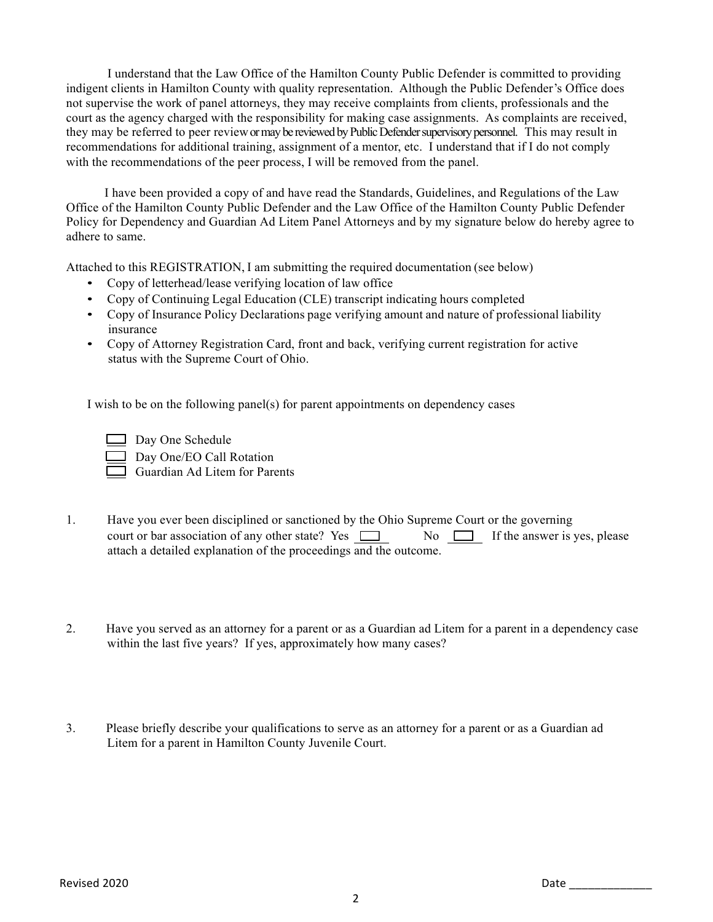I understand that the Law Office of the Hamilton County Public Defender is committed to providing indigent clients in Hamilton County with quality representation. Although the Public Defender's Office does not supervise the work of panel attorneys, they may receive complaints from clients, professionals and the court as the agency charged with the responsibility for making case assignments. As complaints are received, they may be referred to peer reviewor may be reviewed by Public Defender supervisory personnel. This may result in recommendations for additional training, assignment of a mentor, etc. I understand that if I do not comply with the recommendations of the peer process, I will be removed from the panel.

 I have been provided a copy of and have read the Standards, Guidelines, and Regulations of the Law Office of the Hamilton County Public Defender and the Law Office of the Hamilton County Public Defender Policy for Dependency and Guardian Ad Litem Panel Attorneys and by my signature below do hereby agree to adhere to same.

Attached to this REGISTRATION, I am submitting the required documentation (see below)

- Copy of letterhead/lease verifying location of law office
- Copy of Continuing Legal Education (CLE) transcript indicating hours completed
- Copy of Insurance Policy Declarations page verifying amount and nature of professional liability insurance
- Copy of Attorney Registration Card, front and back, verifying current registration for active status with the Supreme Court of Ohio.

I wish to be on the following panel(s) for parent appointments on dependency cases

 Day One Schedule Day One/EO Call Rotation

Guardian Ad Litem for Parents

- 1. Have you ever been disciplined or sanctioned by the Ohio Supreme Court or the governing court or bar association of any other state? Yes  $\Box$  No  $\Box$  If the answer is yes, please attach a detailed explanation of the proceedings and the outcome.
- 2. Have you served as an attorney for a parent or as a Guardian ad Litem for a parent in a dependency case within the last five years? If yes, approximately how many cases?
- 3. Please briefly describe your qualifications to serve as an attorney for a parent or as a Guardian ad Litem for a parent in Hamilton County Juvenile Court.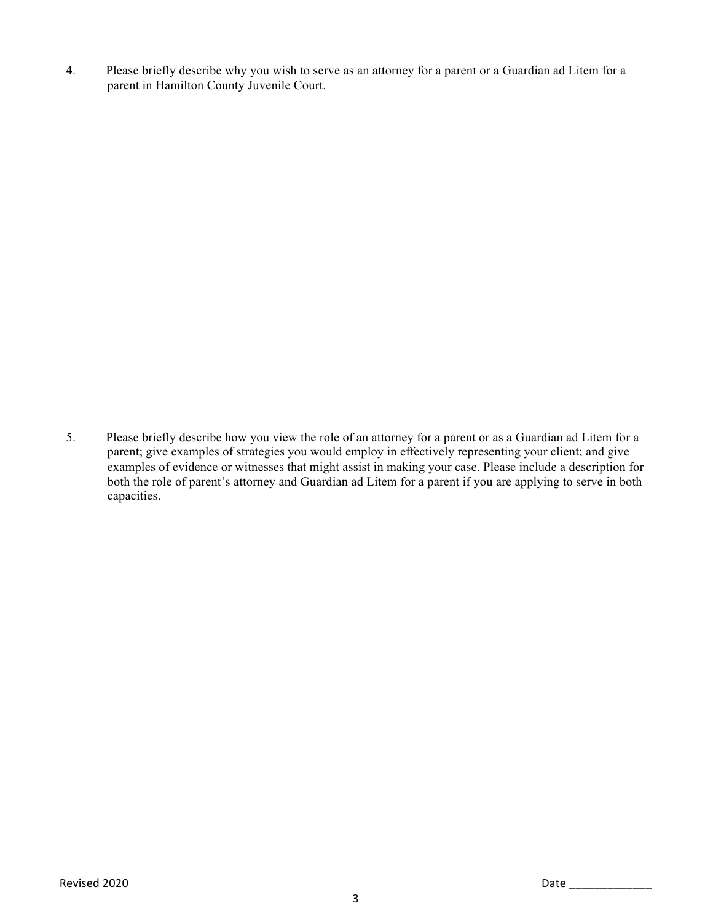4. Please briefly describe why you wish to serve as an attorney for a parent or a Guardian ad Litem for a parent in Hamilton County Juvenile Court.

5. Please briefly describe how you view the role of an attorney for a parent or as a Guardian ad Litem for a parent; give examples of strategies you would employ in effectively representing your client; and give examples of evidence or witnesses that might assist in making your case. Please include a description for both the role of parent's attorney and Guardian ad Litem for a parent if you are applying to serve in both capacities.